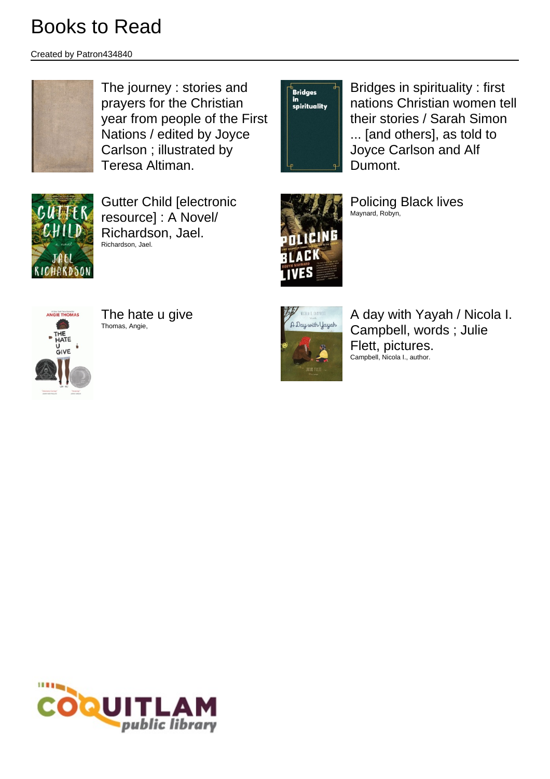Created by Patron434840



The journey : stories and prayers for the Christian year from people of the First Nations / edited by Joyce Carlson ; illustrated by Teresa Altiman.

**Bridges** oriages<br>in<br>spirituality Bridges in spirituality : first nations Christian women tell their stories / Sarah Simon ... [and others], as told to Joyce Carlson and Alf Dumont.



Gutter Child [electronic resource] : A Novel/ Richardson, Jael. Richardson, Jael.



Policing Black lives Maynard, Robyn,



The hate u give Thomas, Angie,



A day with Yayah / Nicola I. Campbell, words ; Julie Flett, pictures. Campbell, Nicola I., author.

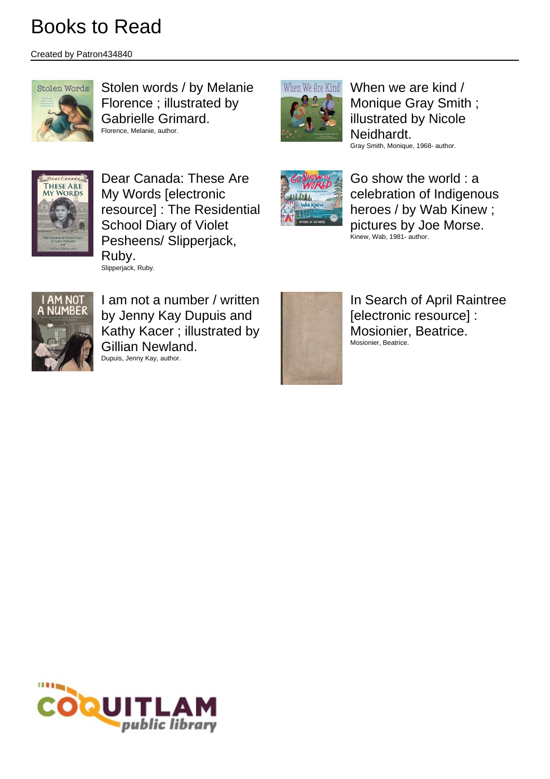Created by Patron434840



Stolen words / by Melanie Florence ; illustrated by Gabrielle Grimard. Florence, Melanie, author.



When we are kind / Monique Gray Smith ; illustrated by Nicole Neidhardt. Gray Smith, Monique, 1968- author.



Dear Canada: These Are My Words [electronic resource] : The Residential School Diary of Violet Pesheens/ Slipperjack, Ruby. Slipperjack, Ruby.



Go show the world : a celebration of Indigenous heroes / by Wab Kinew ; pictures by Joe Morse. Kinew, Wab, 1981- author.



I am not a number / written by Jenny Kay Dupuis and Kathy Kacer ; illustrated by Gillian Newland. Dupuis, Jenny Kay, author.



In Search of April Raintree [electronic resource] : Mosionier, Beatrice. Mosionier, Beatrice.

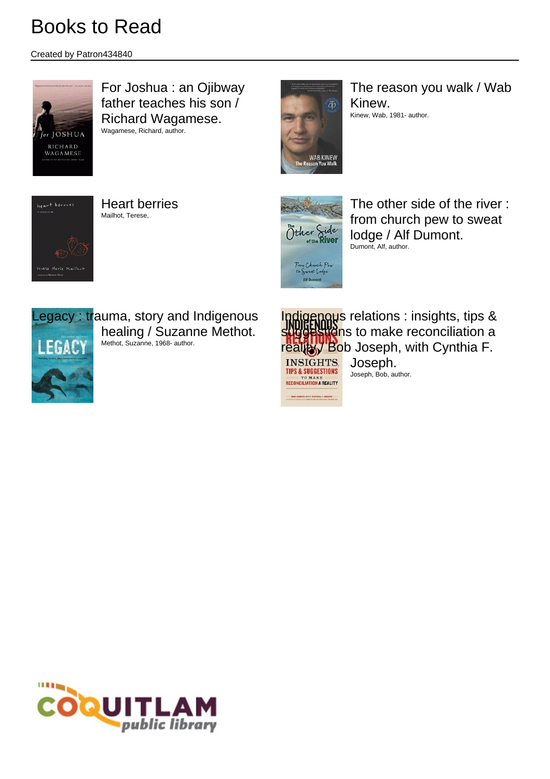Created by Patron434840



For Joshua : an Ojibway father teaches his son / Richard Wagamese. Wagamese, Richard, author.



The reason you walk / Wab Kinew. Kinew, Wab, 1981- author.



Heart berries Mailhot, Terese,



**BOR JOSEPH NITH CYMTHIA F.JOSEPH :** 

The other side of the river : from church pew to sweat lodge / Alf Dumont. Dumont, Alf, author.



Indigenous relations : insights, tips & suggestions to make reconciliation a reality Bob Joseph, with Cynthia F. **INSIGHTS.** Joseph. **TIPS & SUGGESTIONS** Joseph, Bob, author. **TO MAKE NECONCILIATION A REALITY** 

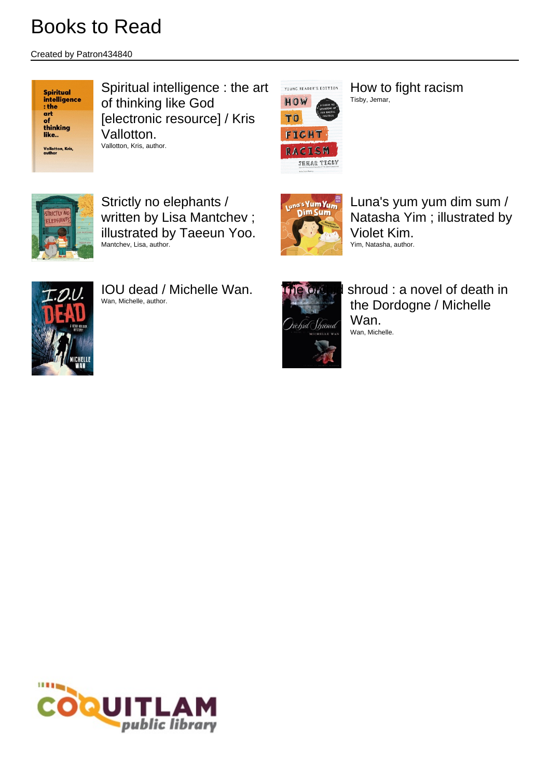Created by Patron434840



Spiritual intelligence : the art of thinking like God [electronic resource] / Kris Vallotton. Vallotton, Kris, author.



How to fight racism Tisby, Jemar,



Strictly no elephants / written by Lisa Mantchev ; illustrated by Taeeun Yoo. Mantchev, Lisa, author.



IOU dead / Michelle Wan. Wan, Michelle, author.



Luna's yum yum dim sum / Natasha Yim ; illustrated by Violet Kim. Yim, Natasha, author.



ie orchid shroud : a novel of death in the Dordogne / Michelle Wan. Wan, Michelle.